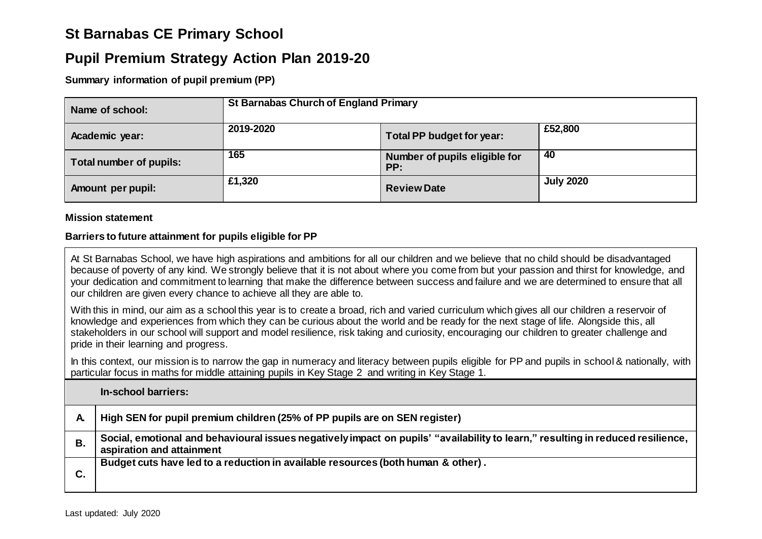# **St Barnabas CE Primary School**

## **Pupil Premium Strategy Action Plan 2019-20**

**Summary information of pupil premium (PP)**

| Name of school:         | <b>St Barnabas Church of England Primary</b> |                                      |                  |  |
|-------------------------|----------------------------------------------|--------------------------------------|------------------|--|
| Academic year:          | 2019-2020                                    | Total PP budget for year:            | £52,800          |  |
| Total number of pupils: | 165                                          | Number of pupils eligible for<br>PP: | 40               |  |
| Amount per pupil:       | £1,320                                       | <b>Review Date</b>                   | <b>July 2020</b> |  |

#### **Mission statement**

#### **Barriers to future attainment for pupils eligible for PP**

At St Barnabas School, we have high aspirations and ambitions for all our children and we believe that no child should be disadvantaged because of poverty of any kind. We strongly believe that it is not about where you come from but your passion and thirst for knowledge, and your dedication and commitment to learning that make the difference between success and failure and we are determined to ensure that all our children are given every chance to achieve all they are able to.

With this in mind, our aim as a school this year is to create a broad, rich and varied curriculum which gives all our children a reservoir of knowledge and experiences from which they can be curious about the world and be ready for the next stage of life. Alongside this, all stakeholders in our school will support and model resilience, risk taking and curiosity, encouraging our children to greater challenge and pride in their learning and progress.

In this context, our mission is to narrow the gap in numeracy and literacy between pupils eligible for PP and pupils in school & nationally, with particular focus in maths for middle attaining pupils in Key Stage 2 and writing in Key Stage 1.

#### **In-school barriers:**

| A. | High SEN for pupil premium children (25% of PP pupils are on SEN register)                                                                                   |
|----|--------------------------------------------------------------------------------------------------------------------------------------------------------------|
| В. | Social, emotional and behavioural issues negatively impact on pupils' "availability to learn," resulting in reduced resilience,<br>aspiration and attainment |
|    | Budget cuts have led to a reduction in available resources (both human & other).                                                                             |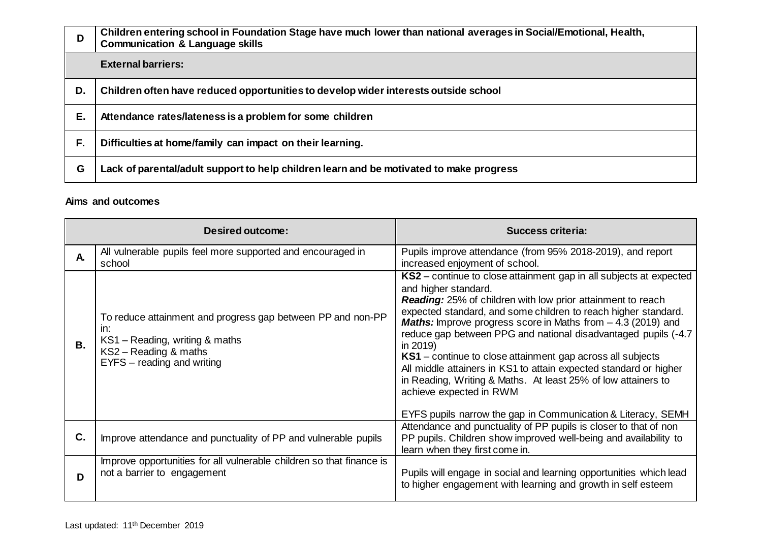| D  | Children entering school in Foundation Stage have much lower than national averages in Social/Emotional, Health,<br><b>Communication &amp; Language skills</b> |
|----|----------------------------------------------------------------------------------------------------------------------------------------------------------------|
|    | <b>External barriers:</b>                                                                                                                                      |
| D. | Children often have reduced opportunities to develop wider interests outside school                                                                            |
| Е. | Attendance rates/lateness is a problem for some children                                                                                                       |
| F. | Difficulties at home/family can impact on their learning.                                                                                                      |
| G  | Lack of parental/adult support to help children learn and be motivated to make progress                                                                        |

### **Aims and outcomes**

|              | Desired outcome:                                                                                                                                            | <b>Success criteria:</b>                                                                                                                                                                                                                                                                                                                                                                                                                                                                                                                                                                                                        |  |  |
|--------------|-------------------------------------------------------------------------------------------------------------------------------------------------------------|---------------------------------------------------------------------------------------------------------------------------------------------------------------------------------------------------------------------------------------------------------------------------------------------------------------------------------------------------------------------------------------------------------------------------------------------------------------------------------------------------------------------------------------------------------------------------------------------------------------------------------|--|--|
| $\mathbf{A}$ | All vulnerable pupils feel more supported and encouraged in<br>school                                                                                       | Pupils improve attendance (from 95% 2018-2019), and report<br>increased enjoyment of school.                                                                                                                                                                                                                                                                                                                                                                                                                                                                                                                                    |  |  |
| В.           | To reduce attainment and progress gap between PP and non-PP<br>in:<br>KS1 - Reading, writing & maths<br>KS2 - Reading & maths<br>EYFS - reading and writing | KS2 – continue to close attainment gap in all subjects at expected<br>and higher standard.<br><b>Reading:</b> 25% of children with low prior attainment to reach<br>expected standard, and some children to reach higher standard.<br><b>Maths:</b> Improve progress score in Maths from $-$ 4.3 (2019) and<br>reduce gap between PPG and national disadvantaged pupils (-4.7<br>in 2019)<br><b>KS1</b> – continue to close attainment gap across all subjects<br>All middle attainers in KS1 to attain expected standard or higher<br>in Reading, Writing & Maths. At least 25% of low attainers to<br>achieve expected in RWM |  |  |
|              |                                                                                                                                                             | EYFS pupils narrow the gap in Communication & Literacy, SEMH                                                                                                                                                                                                                                                                                                                                                                                                                                                                                                                                                                    |  |  |
| C.           | Improve attendance and punctuality of PP and vulnerable pupils                                                                                              | Attendance and punctuality of PP pupils is closer to that of non<br>PP pupils. Children show improved well-being and availability to<br>learn when they first come in.                                                                                                                                                                                                                                                                                                                                                                                                                                                          |  |  |
| D            | Improve opportunities for all vulnerable children so that finance is<br>not a barrier to engagement                                                         | Pupils will engage in social and learning opportunities which lead<br>to higher engagement with learning and growth in self esteem                                                                                                                                                                                                                                                                                                                                                                                                                                                                                              |  |  |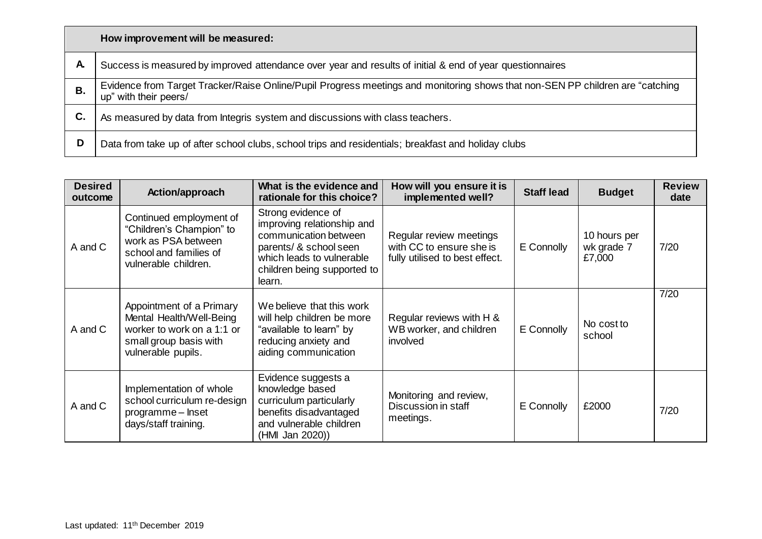|    | How improvement will be measured:                                                                                                                      |
|----|--------------------------------------------------------------------------------------------------------------------------------------------------------|
| A. | Success is measured by improved attendance over year and results of initial & end of year questionnaires                                               |
| В. | Evidence from Target Tracker/Raise Online/Pupil Progress meetings and monitoring shows that non-SEN PP children are "catching<br>up" with their peers/ |
| С. | As measured by data from Integris system and discussions with class teachers.                                                                          |
| D  | Data from take up of after school clubs, school trips and residentials; breakfast and holiday clubs                                                    |

| <b>Desired</b><br>outcome | Action/approach                                                                                                                    | What is the evidence and<br>rationale for this choice?                                                                                                                    | How will you ensure it is<br>implemented well?                                        | <b>Staff lead</b> | <b>Budget</b>                        | <b>Review</b><br>date |
|---------------------------|------------------------------------------------------------------------------------------------------------------------------------|---------------------------------------------------------------------------------------------------------------------------------------------------------------------------|---------------------------------------------------------------------------------------|-------------------|--------------------------------------|-----------------------|
| A and C                   | Continued employment of<br>"Children's Champion" to<br>work as PSA between<br>school and families of<br>vulnerable children.       | Strong evidence of<br>improving relationship and<br>communication between<br>parents/ & school seen<br>which leads to vulnerable<br>children being supported to<br>learn. | Regular review meetings<br>with CC to ensure she is<br>fully utilised to best effect. | E Connolly        | 10 hours per<br>wk grade 7<br>£7,000 | 7/20                  |
| A and C                   | Appointment of a Primary<br>Mental Health/Well-Being<br>worker to work on a 1:1 or<br>small group basis with<br>vulnerable pupils. | We believe that this work<br>will help children be more<br>"available to learn" by<br>reducing anxiety and<br>aiding communication                                        | Regular reviews with H &<br>WB worker, and children<br>involved                       | E Connolly        | No cost to<br>school                 | 7/20                  |
| A and C                   | Implementation of whole<br>school curriculum re-design<br>programme - Inset<br>days/staff training.                                | Evidence suggests a<br>knowledge based<br>curriculum particularly<br>benefits disadvantaged<br>and vulnerable children<br>(HMI Jan 2020))                                 | Monitoring and review,<br>Discussion in staff<br>meetings.                            | E Connolly        | £2000                                | 7/20                  |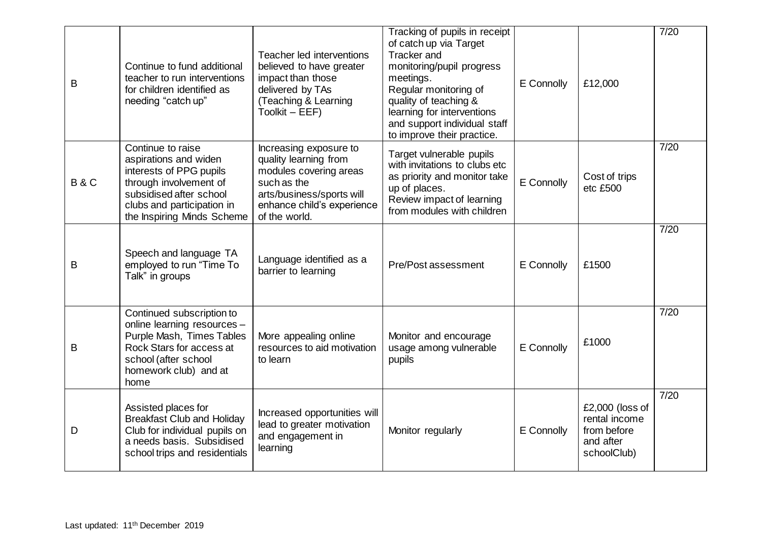| B              | Continue to fund additional<br>teacher to run interventions<br>for children identified as<br>needing "catch up"                                                                        | Teacher led interventions<br>believed to have greater<br>impact than those<br>delivered by TAs<br>(Teaching & Learning<br>Toolkit - EEF)                             | Tracking of pupils in receipt<br>of catch up via Target<br><b>Tracker</b> and<br>monitoring/pupil progress<br>meetings.<br>Regular monitoring of<br>quality of teaching &<br>learning for interventions<br>and support individual staff<br>to improve their practice. | E Connolly | £12,000                                                                     | 7/20 |
|----------------|----------------------------------------------------------------------------------------------------------------------------------------------------------------------------------------|----------------------------------------------------------------------------------------------------------------------------------------------------------------------|-----------------------------------------------------------------------------------------------------------------------------------------------------------------------------------------------------------------------------------------------------------------------|------------|-----------------------------------------------------------------------------|------|
| <b>B&amp;C</b> | Continue to raise<br>aspirations and widen<br>interests of PPG pupils<br>through involvement of<br>subsidised after school<br>clubs and participation in<br>the Inspiring Minds Scheme | Increasing exposure to<br>quality learning from<br>modules covering areas<br>such as the<br>arts/business/sports will<br>enhance child's experience<br>of the world. | Target vulnerable pupils<br>with invitations to clubs etc<br>as priority and monitor take<br>up of places.<br>Review impact of learning<br>from modules with children                                                                                                 | E Connolly | Cost of trips<br>etc £500                                                   | 7/20 |
| B              | Speech and language TA<br>employed to run "Time To<br>Talk" in groups                                                                                                                  | Language identified as a<br>barrier to learning                                                                                                                      | Pre/Post assessment                                                                                                                                                                                                                                                   | E Connolly | £1500                                                                       | 7/20 |
| B              | Continued subscription to<br>online learning resources -<br>Purple Mash, Times Tables<br>Rock Stars for access at<br>school (after school<br>homework club) and at<br>home             | More appealing online<br>resources to aid motivation<br>to learn                                                                                                     | Monitor and encourage<br>usage among vulnerable<br>pupils                                                                                                                                                                                                             | E Connolly | £1000                                                                       | 7/20 |
| D              | Assisted places for<br><b>Breakfast Club and Holiday</b><br>Club for individual pupils on<br>a needs basis. Subsidised<br>school trips and residentials                                | Increased opportunities will<br>lead to greater motivation<br>and engagement in<br>learning                                                                          | Monitor regularly                                                                                                                                                                                                                                                     | E Connolly | £2,000 (loss of<br>rental income<br>from before<br>and after<br>schoolClub) | 7/20 |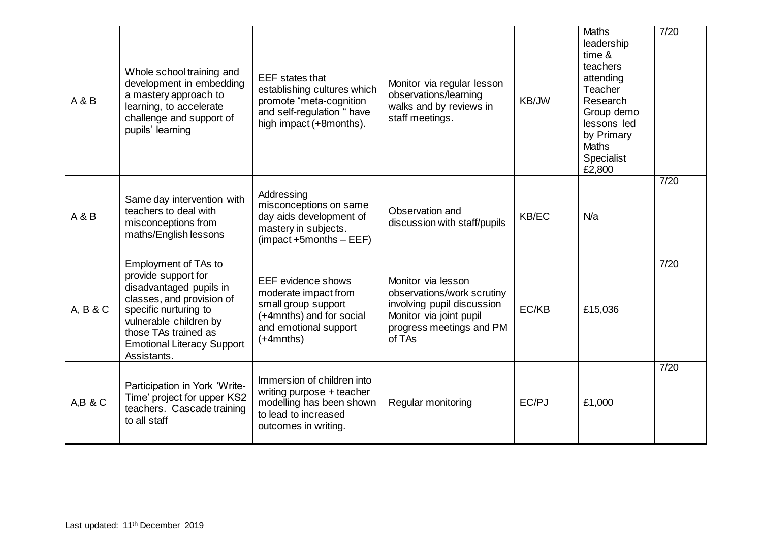| A & B    | Whole school training and<br>development in embedding<br>a mastery approach to<br>learning, to accelerate<br>challenge and support of<br>pupils' learning                                                                          | <b>EEF</b> states that<br>establishing cultures which<br>promote "meta-cognition<br>and self-regulation " have<br>high impact (+8months).        | Monitor via regular lesson<br>observations/learning<br>walks and by reviews in<br>staff meetings.                                               | KB/JW        | <b>Maths</b><br>leadership<br>time &<br>teachers<br>attending<br>Teacher<br>Research<br>Group demo<br>lessons led<br>by Primary<br><b>Maths</b><br>Specialist<br>£2,800 | 7/20 |
|----------|------------------------------------------------------------------------------------------------------------------------------------------------------------------------------------------------------------------------------------|--------------------------------------------------------------------------------------------------------------------------------------------------|-------------------------------------------------------------------------------------------------------------------------------------------------|--------------|-------------------------------------------------------------------------------------------------------------------------------------------------------------------------|------|
| A & B    | Same day intervention with<br>teachers to deal with<br>misconceptions from<br>maths/English lessons                                                                                                                                | Addressing<br>misconceptions on same<br>day aids development of<br>mastery in subjects.<br>$($ impact +5months $-$ EEF $)$                       | Observation and<br>discussion with staff/pupils                                                                                                 | <b>KB/EC</b> | N/a                                                                                                                                                                     | 7/20 |
| A, B & C | Employment of TAs to<br>provide support for<br>disadvantaged pupils in<br>classes, and provision of<br>specific nurturing to<br>vulnerable children by<br>those TAs trained as<br><b>Emotional Literacy Support</b><br>Assistants. | <b>EEF</b> evidence shows<br>moderate impact from<br>small group support<br>(+4mnths) and for social<br>and emotional support<br>$(+4$ mnths $)$ | Monitor via lesson<br>observations/work scrutiny<br>involving pupil discussion<br>Monitor via joint pupil<br>progress meetings and PM<br>of TAs | EC/KB        | £15,036                                                                                                                                                                 | 7/20 |
| A,B & C  | Participation in York 'Write-<br>Time' project for upper KS2<br>teachers. Cascade training<br>to all staff                                                                                                                         | Immersion of children into<br>writing purpose + teacher<br>modelling has been shown<br>to lead to increased<br>outcomes in writing.              | Regular monitoring                                                                                                                              | EC/PJ        | £1,000                                                                                                                                                                  | 7/20 |